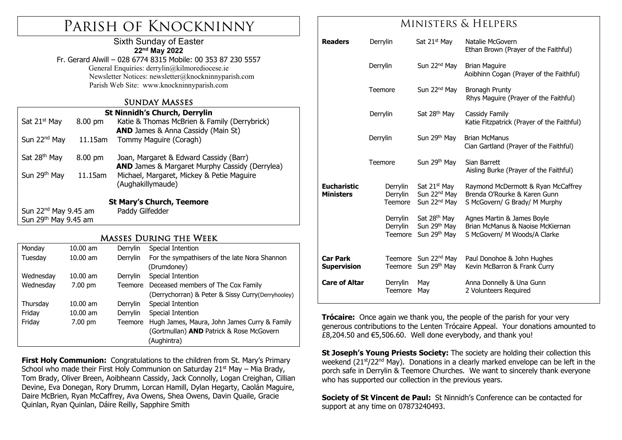# Parish of Knockninny

### Sixth Sunday of Easter **22nd May 2022**

Fr. Gerard Alwill – 028 6774 8315 Mobile: 00 353 87 230 5557 General Enquiries: derrylin@kilmorediocese.ie Newsletter Notices: newsletter@knockninnyparish.com Parish Web Site: www.knockninnyparish.com

### Sunday Masses

| <b>St Ninnidh's Church, Derrylin</b> |                   |                                                       |  |  |  |  |  |
|--------------------------------------|-------------------|-------------------------------------------------------|--|--|--|--|--|
| Sat 21 <sup>st</sup> May             | $8.00 \text{ pm}$ | Katie & Thomas McBrien & Family (Derrybrick)          |  |  |  |  |  |
|                                      |                   | <b>AND</b> James & Anna Cassidy (Main St)             |  |  |  |  |  |
| Sun 22 <sup>nd</sup> May             | 11.15am           | Tommy Maguire (Coragh)                                |  |  |  |  |  |
|                                      |                   |                                                       |  |  |  |  |  |
| Sat 28 <sup>th</sup> May             | $8.00 \text{ pm}$ | Joan, Margaret & Edward Cassidy (Barr)                |  |  |  |  |  |
|                                      |                   | <b>AND</b> James & Margaret Murphy Cassidy (Derrylea) |  |  |  |  |  |
| Sun 29th May                         | 11.15am           | Michael, Margaret, Mickey & Petie Maguire             |  |  |  |  |  |
|                                      |                   | (Aughakillymaude)                                     |  |  |  |  |  |
|                                      |                   |                                                       |  |  |  |  |  |
| <b>St Mary's Church, Teemore</b>     |                   |                                                       |  |  |  |  |  |
| Sun 22 <sup>nd</sup> May 9.45 am     |                   | Paddy Gilfedder                                       |  |  |  |  |  |
| Sun 29 <sup>th</sup> May 9.45 am     |                   |                                                       |  |  |  |  |  |

### Masses During the Week

| Monday    | $10.00$ am | Derrylin | Special Intention                                 |  |
|-----------|------------|----------|---------------------------------------------------|--|
| Tuesday   | $10.00$ am | Derrylin | For the sympathisers of the late Nora Shannon     |  |
|           |            |          | (Drumdoney)                                       |  |
| Wednesday | $10.00$ am | Derrylin | Special Intention                                 |  |
| Wednesday | $7.00$ pm  | Teemore  | Deceased members of The Cox Family                |  |
|           |            |          | (Derrychorran) & Peter & Sissy Curry(Derryhooley) |  |
| Thursday  | $10.00$ am | Derrylin | Special Intention                                 |  |
| Friday    | $10.00$ am | Derrylin | Special Intention                                 |  |
| Friday    | 7.00 pm    | Teemore  | Hugh James, Maura, John James Curry & Family      |  |
|           |            |          | (Gortmullan) AND Patrick & Rose McGovern          |  |
|           |            |          | (Aughintra)                                       |  |

**First Holy Communion:** Congratulations to the children from St. Mary's Primary School who made their First Holy Communion on Saturday 21<sup>st</sup> May – Mia Brady, Tom Brady, Oliver Breen, Aoibheann Cassidy, Jack Connolly, Logan Creighan, Cillian Devine, Eva Donegan, Rory Drumm, Lorcan Hamill, Dylan Hegarty, Caolán Maguire, Daire McBrien, Ryan McCaffrey, Ava Owens, Shea Owens, Davin Quaile, Gracie Quinlan, Ryan Quinlan, Dáire Reilly, Sapphire Smith

## Ministers & Helpers

| <b>Readers</b>                         | Derrylin                        | Sat 21 <sup>st</sup> May                                                         | Natalie McGovern<br>Ethan Brown (Prayer of the Faithful)                                            |
|----------------------------------------|---------------------------------|----------------------------------------------------------------------------------|-----------------------------------------------------------------------------------------------------|
|                                        | Derrylin                        | Sun 22 <sup>nd</sup> May                                                         | <b>Brian Maguire</b><br>Aoibhinn Cogan (Prayer of the Faithful)                                     |
|                                        | Teemore                         | Sun 22 <sup>nd</sup> May                                                         | Bronagh Prunty<br>Rhys Maguire (Prayer of the Faithful)                                             |
|                                        | Derrylin                        | Sat 28 <sup>th</sup> May                                                         | Cassidy Family<br>Katie Fitzpatrick (Prayer of the Faithful)                                        |
|                                        | Derrylin                        | Sun 29th May                                                                     | <b>Brian McManus</b><br>Cian Gartland (Prayer of the Faithful)                                      |
|                                        | Teemore                         | Sun 29th May                                                                     | Sian Barrett<br>Aisling Burke (Prayer of the Faithful)                                              |
| <b>Eucharistic</b><br><b>Ministers</b> | Derrylin<br>Derrylin<br>Teemore | Sat 21 <sup>st</sup> May<br>Sun 22 <sup>nd</sup> May<br>Sun 22 <sup>nd</sup> May | Raymond McDermott & Ryan McCaffrey<br>Brenda O'Rourke & Karen Gunn<br>S McGovern/ G Brady/ M Murphy |
|                                        | Derrylin<br>Derrylin<br>Teemore | Sat 28 <sup>th</sup> May<br>Sun 29 <sup>th</sup> May<br>Sun 29th May             | Agnes Martin & James Boyle<br>Brian McManus & Naoise McKiernan<br>S McGovern/ M Woods/A Clarke      |
| <b>Car Park</b><br><b>Supervision</b>  | Teemore                         | Teemore Sun 22 <sup>nd</sup> May<br>Sun 29 <sup>th</sup> May                     | Paul Donohoe & John Hughes<br>Kevin McBarron & Frank Curry                                          |
| <b>Care of Altar</b>                   | Derrylin<br><b>Teemore</b>      | May<br>May                                                                       | Anna Donnelly & Una Gunn<br>2 Volunteers Required                                                   |

**Trócaire:** Once again we thank you, the people of the parish for your very generous contributions to the Lenten Trócaire Appeal. Your donations amounted to £8,204.50 and €5,506.60. Well done everybody, and thank you!

**St Joseph's Young Priests Society:** The society are holding their collection this weekend (21<sup>st</sup>/22<sup>nd</sup> May). Donations in a clearly marked envelope can be left in the porch safe in Derrylin & Teemore Churches. We want to sincerely thank everyone who has supported our collection in the previous vears.

**Society of St Vincent de Paul:** St Ninnidh's Conference can be contacted for support at any time on 07873240493.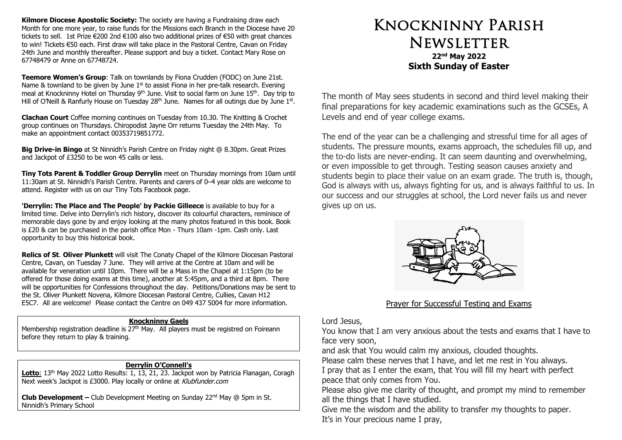**Kilmore Diocese Apostolic Society:** The society are having a Fundraising draw each Month for one more year, to raise funds for the Missions each Branch in the Diocese have 20 tickets to sell. 1st Prize €200 2nd €100 also two additional prizes of €50 with great chances to win! Tickets €50 each. First draw will take place in the Pastoral Centre, Cavan on Friday 24th June and monthly thereafter. Please support and buy a ticket. Contact Mary Rose on 67748479 or Anne on 67748724.

**Teemore Women's Group**: Talk on townlands by Fiona Crudden (FODC) on June 21st. Name & townland to be given by June 1<sup>st</sup> to assist Fiona in her pre-talk research. Evening meal at Knockninny Hotel on Thursday 9<sup>th</sup> June. Visit to social farm on June 15<sup>th</sup>. Day trip to Hill of O'Neill & Ranfurly House on Tuesday 28<sup>th</sup> June. Names for all outings due by June  $1<sup>st</sup>$ .

**Clachan Court** Coffee morning continues on Tuesday from 10.30. The Knitting & Crochet group continues on Thursdays. Chiropodist Jayne Orr returns Tuesday the 24th May. To make an appointment contact 00353719851772.

**Big Drive-in Bingo** at St Ninnidh's Parish Centre on Friday night @ 8.30pm. Great Prizes and Jackpot of £3250 to be won 45 calls or less.

**Tiny Tots Parent & Toddler Group Derrylin** meet on Thursday mornings from 10am until 11:30am at St. Ninnidh's Parish Centre. Parents and carers of 0–4 year olds are welcome to attend. Register with us on our Tiny Tots Facebook page.

**'Derrylin: The Place and The People' by Packie Gilleece** is available to buy for a limited time. Delve into Derrylin's rich history, discover its colourful characters, reminisce of memorable days gone by and enjoy looking at the many photos featured in this book. Book is £20 & can be purchased in the parish office Mon - Thurs 10am -1pm. Cash only. Last opportunity to buy this historical book.

**Relics of St**. **Oliver Plunkett** will visit The Conaty Chapel of the Kilmore Diocesan Pastoral Centre, Cavan, on Tuesday 7 June. They will arrive at the Centre at 10am and will be available for veneration until 10pm. There will be a Mass in the Chapel at 1:15pm (to be offered for those doing exams at this time), another at 5:45pm, and a third at 8pm. There will be opportunities for Confessions throughout the day. Petitions/Donations may be sent to the St. Oliver Plunkett Novena, Kilmore Diocesan Pastoral Centre, Cullies, Cavan H12 E5C7. All are welcome! Please contact the Centre on 049 437 5004 for more information.

#### **Knockninny Gaels**

Membership registration deadline is  $27<sup>th</sup>$  May. All players must be registred on Foireann before they return to play & training.

#### **Derrylin O'Connell's**

Lotto: 13<sup>th</sup> May 2022 Lotto Results: 1, 13, 21, 23. Jackpot won by Patricia Flanagan, Coragh Next week's Jackpot is £3000. Play locally or online at Klubfunder.com

**Club Development –** Club Development Meeting on Sunday 22nd May @ 5pm in St. Ninnidh's Primary School

# Knockninny Parish **NEWSLETTER 22nd May 2022 Sixth Sunday of Easter**

The month of May sees students in second and third level making their final preparations for key academic examinations such as the GCSEs, A Levels and end of year college exams.

The end of the year can be a challenging and stressful time for all ages of students. The pressure mounts, exams approach, the schedules fill up, and the to-do lists are never-ending. It can seem daunting and overwhelming, or even impossible to get through. Testing season causes anxiety and students begin to place their value on an exam grade. The truth is, though, God is always with us, always fighting for us, and is always faithful to us. In our success and our struggles at school, the Lord never fails us and never gives up on us.



### Prayer for Successful Testing and Exams

Lord Jesus,

You know that I am very anxious about the tests and exams that I have to face very soon,

and ask that You would calm my anxious, clouded thoughts.

Please calm these nerves that I have, and let me rest in You always.

I pray that as I enter the exam, that You will fill my heart with perfect peace that only comes from You.

Please also give me clarity of thought, and prompt my mind to remember all the things that I have studied.

Give me the wisdom and the ability to transfer my thoughts to paper. It's in Your precious name I pray,